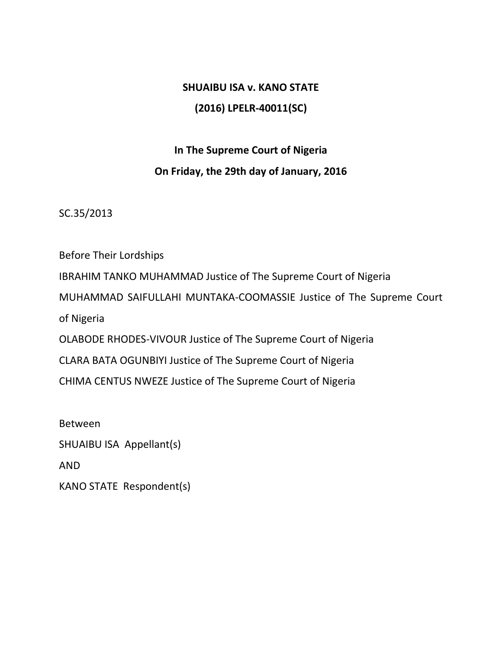# **SHUAIBU ISA v. KANO STATE (2016) LPELR-40011(SC)**

# **In The Supreme Court of Nigeria On Friday, the 29th day of January, 2016**

SC.35/2013

Before Their Lordships IBRAHIM TANKO MUHAMMAD Justice of The Supreme Court of Nigeria MUHAMMAD SAIFULLAHI MUNTAKA-COOMASSIE Justice of The Supreme Court of Nigeria OLABODE RHODES-VIVOUR Justice of The Supreme Court of Nigeria CLARA BATA OGUNBIYI Justice of The Supreme Court of Nigeria CHIMA CENTUS NWEZE Justice of The Supreme Court of Nigeria

Between SHUAIBU ISA Appellant(s) AND KANO STATE Respondent(s)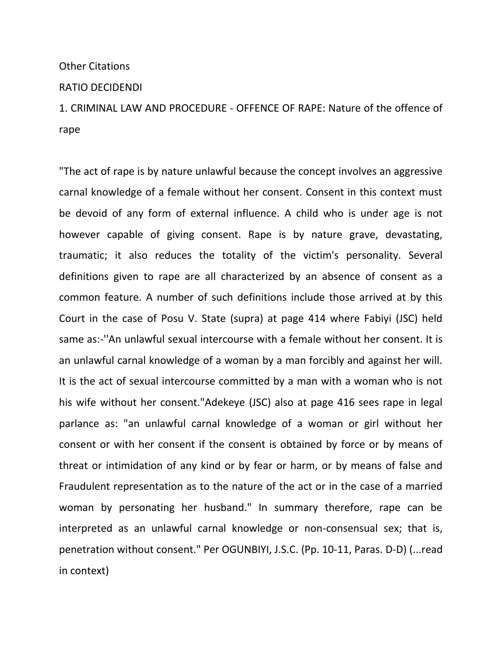### Other Citations

#### RATIO DECIDENDI

1. CRIMINAL LAW AND PROCEDURE - OFFENCE OF RAPE: Nature of the offence of rape

"The act of rape is by nature unlawful because the concept involves an aggressive carnal knowledge of a female without her consent. Consent in this context must be devoid of any form of external influence. A child who is under age is not however capable of giving consent. Rape is by nature grave, devastating, traumatic; it also reduces the totality of the victim's personality. Several definitions given to rape are all characterized by an absence of consent as a common feature. A number of such definitions include those arrived at by this Court in the case of Posu V. State (supra) at page 414 where Fabiyi (JSC) held same as:-''An unlawful sexual intercourse with a female without her consent. It is an unlawful carnal knowledge of a woman by a man forcibly and against her will. It is the act of sexual intercourse committed by a man with a woman who is not his wife without her consent."Adekeye (JSC) also at page 416 sees rape in legal parlance as: "an unlawful carnal knowledge of a woman or girl without her consent or with her consent if the consent is obtained by force or by means of threat or intimidation of any kind or by fear or harm, or by means of false and Fraudulent representation as to the nature of the act or in the case of a married woman by personating her husband." In summary therefore, rape can be interpreted as an unlawful carnal knowledge or non-consensual sex; that is, penetration without consent." Per OGUNBIYI, J.S.C. (Pp. 10-11, Paras. D-D) (...read in context)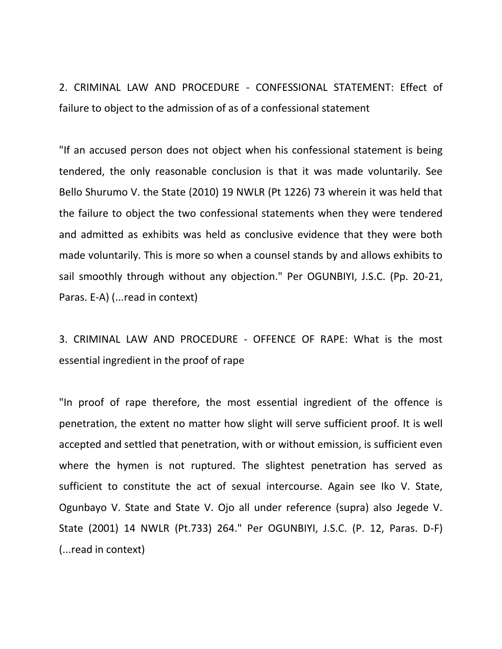2. CRIMINAL LAW AND PROCEDURE - CONFESSIONAL STATEMENT: Effect of failure to object to the admission of as of a confessional statement

"If an accused person does not object when his confessional statement is being tendered, the only reasonable conclusion is that it was made voluntarily. See Bello Shurumo V. the State (2010) 19 NWLR (Pt 1226) 73 wherein it was held that the failure to object the two confessional statements when they were tendered and admitted as exhibits was held as conclusive evidence that they were both made voluntarily. This is more so when a counsel stands by and allows exhibits to sail smoothly through without any objection." Per OGUNBIYI, J.S.C. (Pp. 20-21, Paras. E-A) (...read in context)

3. CRIMINAL LAW AND PROCEDURE - OFFENCE OF RAPE: What is the most essential ingredient in the proof of rape

"In proof of rape therefore, the most essential ingredient of the offence is penetration, the extent no matter how slight will serve sufficient proof. It is well accepted and settled that penetration, with or without emission, is sufficient even where the hymen is not ruptured. The slightest penetration has served as sufficient to constitute the act of sexual intercourse. Again see Iko V. State, Ogunbayo V. State and State V. Ojo all under reference (supra) also Jegede V. State (2001) 14 NWLR (Pt.733) 264." Per OGUNBIYI, J.S.C. (P. 12, Paras. D-F) (...read in context)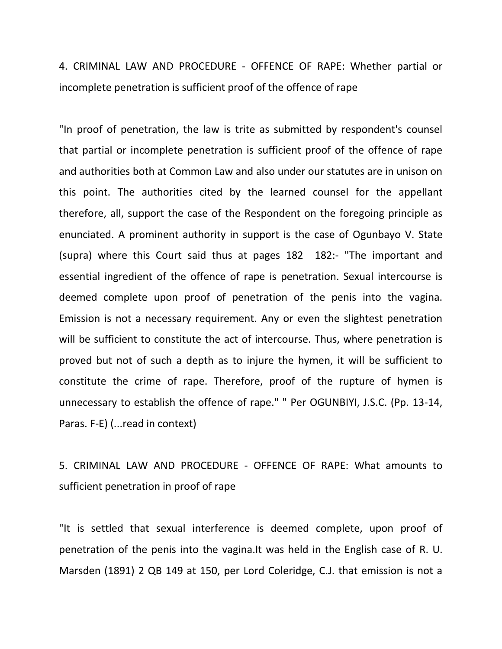4. CRIMINAL LAW AND PROCEDURE - OFFENCE OF RAPE: Whether partial or incomplete penetration is sufficient proof of the offence of rape

"In proof of penetration, the law is trite as submitted by respondent's counsel that partial or incomplete penetration is sufficient proof of the offence of rape and authorities both at Common Law and also under our statutes are in unison on this point. The authorities cited by the learned counsel for the appellant therefore, all, support the case of the Respondent on the foregoing principle as enunciated. A prominent authority in support is the case of Ogunbayo V. State (supra) where this Court said thus at pages 182 182:- "The important and essential ingredient of the offence of rape is penetration. Sexual intercourse is deemed complete upon proof of penetration of the penis into the vagina. Emission is not a necessary requirement. Any or even the slightest penetration will be sufficient to constitute the act of intercourse. Thus, where penetration is proved but not of such a depth as to injure the hymen, it will be sufficient to constitute the crime of rape. Therefore, proof of the rupture of hymen is unnecessary to establish the offence of rape." " Per OGUNBIYI, J.S.C. (Pp. 13-14, Paras. F-E) (...read in context)

5. CRIMINAL LAW AND PROCEDURE - OFFENCE OF RAPE: What amounts to sufficient penetration in proof of rape

"It is settled that sexual interference is deemed complete, upon proof of penetration of the penis into the vagina.It was held in the English case of R. U. Marsden (1891) 2 QB 149 at 150, per Lord Coleridge, C.J. that emission is not a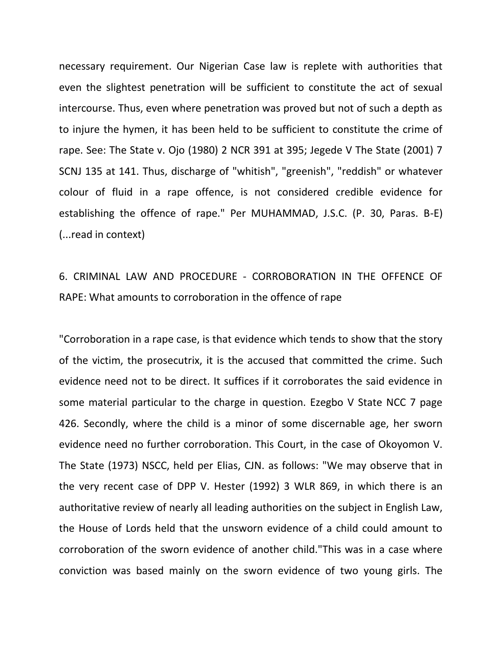necessary requirement. Our Nigerian Case law is replete with authorities that even the slightest penetration will be sufficient to constitute the act of sexual intercourse. Thus, even where penetration was proved but not of such a depth as to injure the hymen, it has been held to be sufficient to constitute the crime of rape. See: The State v. Ojo (1980) 2 NCR 391 at 395; Jegede V The State (2001) 7 SCNJ 135 at 141. Thus, discharge of "whitish", "greenish", "reddish" or whatever colour of fluid in a rape offence, is not considered credible evidence for establishing the offence of rape." Per MUHAMMAD, J.S.C. (P. 30, Paras. B-E) (...read in context)

# 6. CRIMINAL LAW AND PROCEDURE - CORROBORATION IN THE OFFENCE OF RAPE: What amounts to corroboration in the offence of rape

"Corroboration in a rape case, is that evidence which tends to show that the story of the victim, the prosecutrix, it is the accused that committed the crime. Such evidence need not to be direct. It suffices if it corroborates the said evidence in some material particular to the charge in question. Ezegbo V State NCC 7 page 426. Secondly, where the child is a minor of some discernable age, her sworn evidence need no further corroboration. This Court, in the case of Okoyomon V. The State (1973) NSCC, held per Elias, CJN. as follows: "We may observe that in the very recent case of DPP V. Hester (1992) 3 WLR 869, in which there is an authoritative review of nearly all leading authorities on the subject in English Law, the House of Lords held that the unsworn evidence of a child could amount to corroboration of the sworn evidence of another child."This was in a case where conviction was based mainly on the sworn evidence of two young girls. The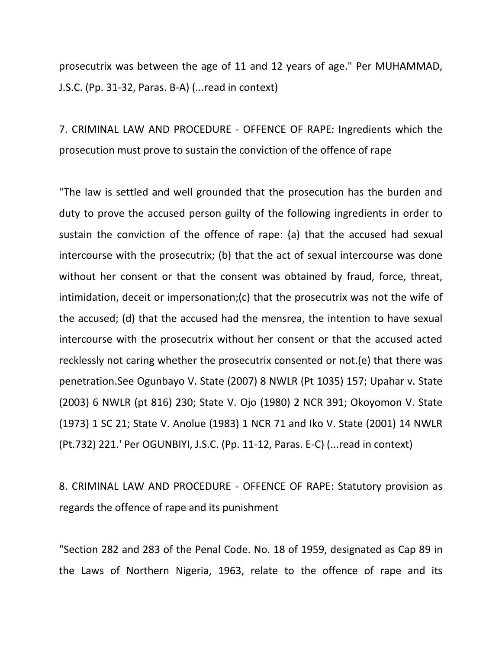prosecutrix was between the age of 11 and 12 years of age." Per MUHAMMAD, J.S.C. (Pp. 31-32, Paras. B-A) (...read in context)

7. CRIMINAL LAW AND PROCEDURE - OFFENCE OF RAPE: Ingredients which the prosecution must prove to sustain the conviction of the offence of rape

"The law is settled and well grounded that the prosecution has the burden and duty to prove the accused person guilty of the following ingredients in order to sustain the conviction of the offence of rape: (a) that the accused had sexual intercourse with the prosecutrix; (b) that the act of sexual intercourse was done without her consent or that the consent was obtained by fraud, force, threat, intimidation, deceit or impersonation;(c) that the prosecutrix was not the wife of the accused; (d) that the accused had the mensrea, the intention to have sexual intercourse with the prosecutrix without her consent or that the accused acted recklessly not caring whether the prosecutrix consented or not.(e) that there was penetration.See Ogunbayo V. State (2007) 8 NWLR (Pt 1035) 157; Upahar v. State (2003) 6 NWLR (pt 816) 230; State V. Ojo (1980) 2 NCR 391; Okoyomon V. State (1973) 1 SC 21; State V. Anolue (1983) 1 NCR 71 and Iko V. State (2001) 14 NWLR (Pt.732) 221.' Per OGUNBIYI, J.S.C. (Pp. 11-12, Paras. E-C) (...read in context)

8. CRIMINAL LAW AND PROCEDURE - OFFENCE OF RAPE: Statutory provision as regards the offence of rape and its punishment

"Section 282 and 283 of the Penal Code. No. 18 of 1959, designated as Cap 89 in the Laws of Northern Nigeria, 1963, relate to the offence of rape and its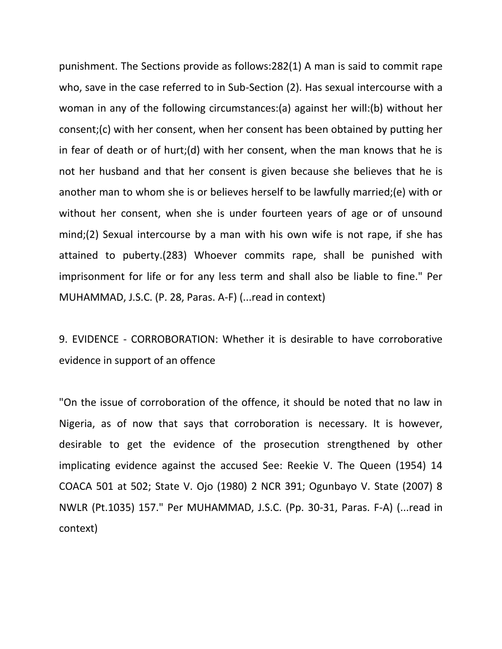punishment. The Sections provide as follows:282(1) A man is said to commit rape who, save in the case referred to in Sub-Section (2). Has sexual intercourse with a woman in any of the following circumstances:(a) against her will:(b) without her consent;(c) with her consent, when her consent has been obtained by putting her in fear of death or of hurt;(d) with her consent, when the man knows that he is not her husband and that her consent is given because she believes that he is another man to whom she is or believes herself to be lawfully married;(e) with or without her consent, when she is under fourteen years of age or of unsound mind;(2) Sexual intercourse by a man with his own wife is not rape, if she has attained to puberty.(283) Whoever commits rape, shall be punished with imprisonment for life or for any less term and shall also be liable to fine." Per MUHAMMAD, J.S.C. (P. 28, Paras. A-F) (...read in context)

9. EVIDENCE - CORROBORATION: Whether it is desirable to have corroborative evidence in support of an offence

"On the issue of corroboration of the offence, it should be noted that no law in Nigeria, as of now that says that corroboration is necessary. It is however, desirable to get the evidence of the prosecution strengthened by other implicating evidence against the accused See: Reekie V. The Queen (1954) 14 COACA 501 at 502; State V. Ojo (1980) 2 NCR 391; Ogunbayo V. State (2007) 8 NWLR (Pt.1035) 157." Per MUHAMMAD, J.S.C. (Pp. 30-31, Paras. F-A) (...read in context)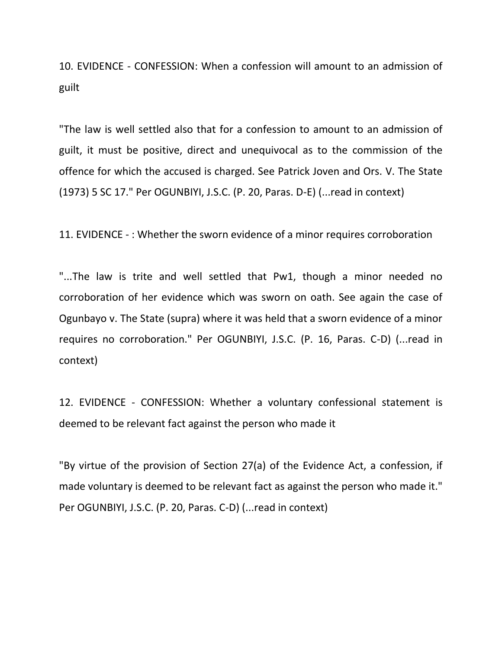10. EVIDENCE - CONFESSION: When a confession will amount to an admission of guilt

"The law is well settled also that for a confession to amount to an admission of guilt, it must be positive, direct and unequivocal as to the commission of the offence for which the accused is charged. See Patrick Joven and Ors. V. The State (1973) 5 SC 17." Per OGUNBIYI, J.S.C. (P. 20, Paras. D-E) (...read in context)

11. EVIDENCE - : Whether the sworn evidence of a minor requires corroboration

"...The law is trite and well settled that Pw1, though a minor needed no corroboration of her evidence which was sworn on oath. See again the case of Ogunbayo v. The State (supra) where it was held that a sworn evidence of a minor requires no corroboration." Per OGUNBIYI, J.S.C. (P. 16, Paras. C-D) (...read in context)

12. EVIDENCE - CONFESSION: Whether a voluntary confessional statement is deemed to be relevant fact against the person who made it

"By virtue of the provision of Section 27(a) of the Evidence Act, a confession, if made voluntary is deemed to be relevant fact as against the person who made it." Per OGUNBIYI, J.S.C. (P. 20, Paras. C-D) (...read in context)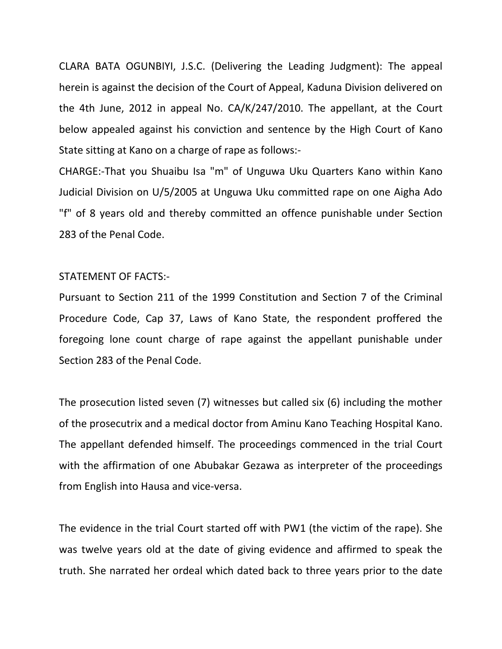CLARA BATA OGUNBIYI, J.S.C. (Delivering the Leading Judgment): The appeal herein is against the decision of the Court of Appeal, Kaduna Division delivered on the 4th June, 2012 in appeal No. CA/K/247/2010. The appellant, at the Court below appealed against his conviction and sentence by the High Court of Kano State sitting at Kano on a charge of rape as follows:-

CHARGE:-That you Shuaibu Isa "m" of Unguwa Uku Quarters Kano within Kano Judicial Division on U/5/2005 at Unguwa Uku committed rape on one Aigha Ado "f" of 8 years old and thereby committed an offence punishable under Section 283 of the Penal Code.

### STATEMENT OF FACTS:-

Pursuant to Section 211 of the 1999 Constitution and Section 7 of the Criminal Procedure Code, Cap 37, Laws of Kano State, the respondent proffered the foregoing lone count charge of rape against the appellant punishable under Section 283 of the Penal Code.

The prosecution listed seven (7) witnesses but called six (6) including the mother of the prosecutrix and a medical doctor from Aminu Kano Teaching Hospital Kano. The appellant defended himself. The proceedings commenced in the trial Court with the affirmation of one Abubakar Gezawa as interpreter of the proceedings from English into Hausa and vice-versa.

The evidence in the trial Court started off with PW1 (the victim of the rape). She was twelve years old at the date of giving evidence and affirmed to speak the truth. She narrated her ordeal which dated back to three years prior to the date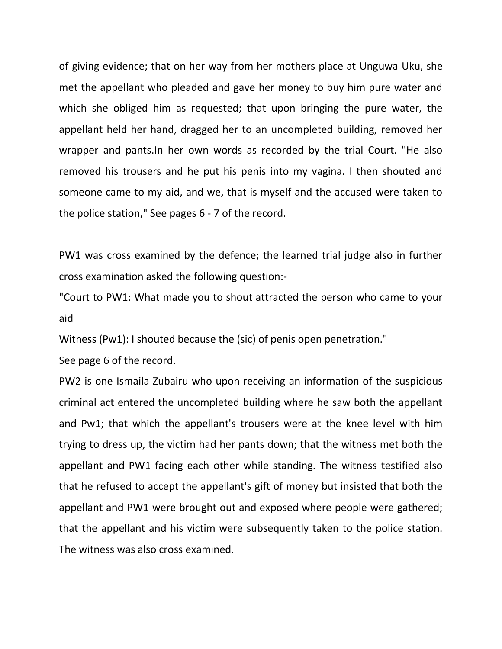of giving evidence; that on her way from her mothers place at Unguwa Uku, she met the appellant who pleaded and gave her money to buy him pure water and which she obliged him as requested; that upon bringing the pure water, the appellant held her hand, dragged her to an uncompleted building, removed her wrapper and pants.In her own words as recorded by the trial Court. "He also removed his trousers and he put his penis into my vagina. I then shouted and someone came to my aid, and we, that is myself and the accused were taken to the police station," See pages 6 - 7 of the record.

PW1 was cross examined by the defence; the learned trial judge also in further cross examination asked the following question:-

"Court to PW1: What made you to shout attracted the person who came to your aid

Witness (Pw1): I shouted because the (sic) of penis open penetration."

See page 6 of the record.

PW2 is one Ismaila Zubairu who upon receiving an information of the suspicious criminal act entered the uncompleted building where he saw both the appellant and Pw1; that which the appellant's trousers were at the knee level with him trying to dress up, the victim had her pants down; that the witness met both the appellant and PW1 facing each other while standing. The witness testified also that he refused to accept the appellant's gift of money but insisted that both the appellant and PW1 were brought out and exposed where people were gathered; that the appellant and his victim were subsequently taken to the police station. The witness was also cross examined.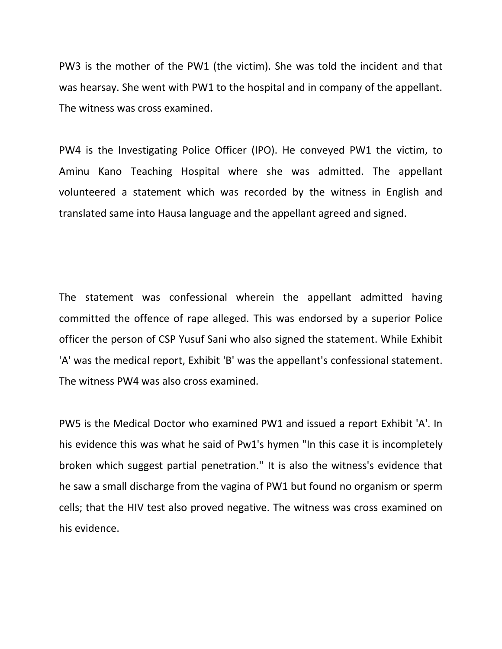PW3 is the mother of the PW1 (the victim). She was told the incident and that was hearsay. She went with PW1 to the hospital and in company of the appellant. The witness was cross examined.

PW4 is the Investigating Police Officer (IPO). He conveyed PW1 the victim, to Aminu Kano Teaching Hospital where she was admitted. The appellant volunteered a statement which was recorded by the witness in English and translated same into Hausa language and the appellant agreed and signed.

The statement was confessional wherein the appellant admitted having committed the offence of rape alleged. This was endorsed by a superior Police officer the person of CSP Yusuf Sani who also signed the statement. While Exhibit 'A' was the medical report, Exhibit 'B' was the appellant's confessional statement. The witness PW4 was also cross examined.

PW5 is the Medical Doctor who examined PW1 and issued a report Exhibit 'A'. In his evidence this was what he said of Pw1's hymen "In this case it is incompletely broken which suggest partial penetration." It is also the witness's evidence that he saw a small discharge from the vagina of PW1 but found no organism or sperm cells; that the HIV test also proved negative. The witness was cross examined on his evidence.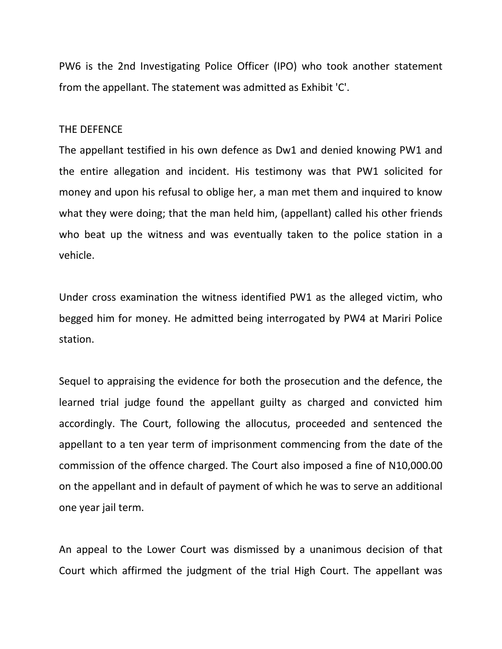PW6 is the 2nd Investigating Police Officer (IPO) who took another statement from the appellant. The statement was admitted as Exhibit 'C'.

#### THE DEFENCE

The appellant testified in his own defence as Dw1 and denied knowing PW1 and the entire allegation and incident. His testimony was that PW1 solicited for money and upon his refusal to oblige her, a man met them and inquired to know what they were doing; that the man held him, (appellant) called his other friends who beat up the witness and was eventually taken to the police station in a vehicle.

Under cross examination the witness identified PW1 as the alleged victim, who begged him for money. He admitted being interrogated by PW4 at Mariri Police station.

Sequel to appraising the evidence for both the prosecution and the defence, the learned trial judge found the appellant guilty as charged and convicted him accordingly. The Court, following the allocutus, proceeded and sentenced the appellant to a ten year term of imprisonment commencing from the date of the commission of the offence charged. The Court also imposed a fine of N10,000.00 on the appellant and in default of payment of which he was to serve an additional one year jail term.

An appeal to the Lower Court was dismissed by a unanimous decision of that Court which affirmed the judgment of the trial High Court. The appellant was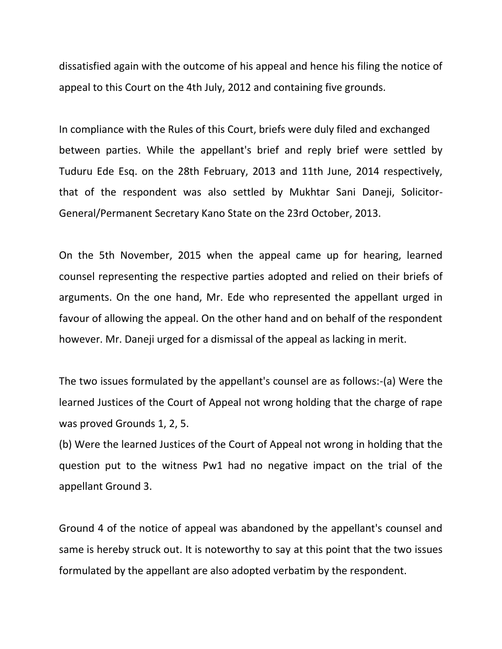dissatisfied again with the outcome of his appeal and hence his filing the notice of appeal to this Court on the 4th July, 2012 and containing five grounds.

In compliance with the Rules of this Court, briefs were duly filed and exchanged between parties. While the appellant's brief and reply brief were settled by Tuduru Ede Esq. on the 28th February, 2013 and 11th June, 2014 respectively, that of the respondent was also settled by Mukhtar Sani Daneji, Solicitor-General/Permanent Secretary Kano State on the 23rd October, 2013.

On the 5th November, 2015 when the appeal came up for hearing, learned counsel representing the respective parties adopted and relied on their briefs of arguments. On the one hand, Mr. Ede who represented the appellant urged in favour of allowing the appeal. On the other hand and on behalf of the respondent however. Mr. Daneji urged for a dismissal of the appeal as lacking in merit.

The two issues formulated by the appellant's counsel are as follows:-(a) Were the learned Justices of the Court of Appeal not wrong holding that the charge of rape was proved Grounds 1, 2, 5.

(b) Were the learned Justices of the Court of Appeal not wrong in holding that the question put to the witness Pw1 had no negative impact on the trial of the appellant Ground 3.

Ground 4 of the notice of appeal was abandoned by the appellant's counsel and same is hereby struck out. It is noteworthy to say at this point that the two issues formulated by the appellant are also adopted verbatim by the respondent.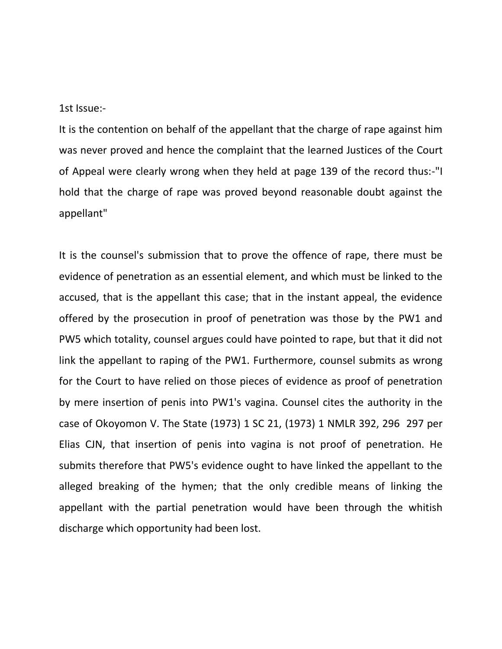1st Issue:-

It is the contention on behalf of the appellant that the charge of rape against him was never proved and hence the complaint that the learned Justices of the Court of Appeal were clearly wrong when they held at page 139 of the record thus:-"I hold that the charge of rape was proved beyond reasonable doubt against the appellant"

It is the counsel's submission that to prove the offence of rape, there must be evidence of penetration as an essential element, and which must be linked to the accused, that is the appellant this case; that in the instant appeal, the evidence offered by the prosecution in proof of penetration was those by the PW1 and PW5 which totality, counsel argues could have pointed to rape, but that it did not link the appellant to raping of the PW1. Furthermore, counsel submits as wrong for the Court to have relied on those pieces of evidence as proof of penetration by mere insertion of penis into PW1's vagina. Counsel cites the authority in the case of Okoyomon V. The State (1973) 1 SC 21, (1973) 1 NMLR 392, 296 297 per Elias CJN, that insertion of penis into vagina is not proof of penetration. He submits therefore that PW5's evidence ought to have linked the appellant to the alleged breaking of the hymen; that the only credible means of linking the appellant with the partial penetration would have been through the whitish discharge which opportunity had been lost.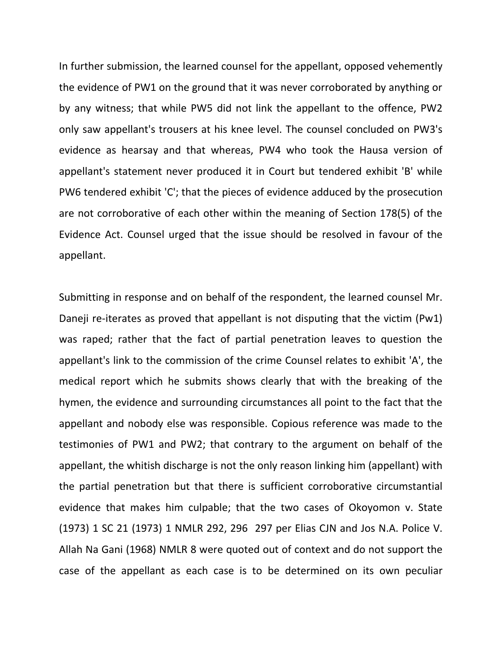In further submission, the learned counsel for the appellant, opposed vehemently the evidence of PW1 on the ground that it was never corroborated by anything or by any witness; that while PW5 did not link the appellant to the offence, PW2 only saw appellant's trousers at his knee level. The counsel concluded on PW3's evidence as hearsay and that whereas, PW4 who took the Hausa version of appellant's statement never produced it in Court but tendered exhibit 'B' while PW6 tendered exhibit 'C'; that the pieces of evidence adduced by the prosecution are not corroborative of each other within the meaning of Section 178(5) of the Evidence Act. Counsel urged that the issue should be resolved in favour of the appellant.

Submitting in response and on behalf of the respondent, the learned counsel Mr. Daneji re-iterates as proved that appellant is not disputing that the victim (Pw1) was raped; rather that the fact of partial penetration leaves to question the appellant's link to the commission of the crime Counsel relates to exhibit 'A', the medical report which he submits shows clearly that with the breaking of the hymen, the evidence and surrounding circumstances all point to the fact that the appellant and nobody else was responsible. Copious reference was made to the testimonies of PW1 and PW2; that contrary to the argument on behalf of the appellant, the whitish discharge is not the only reason linking him (appellant) with the partial penetration but that there is sufficient corroborative circumstantial evidence that makes him culpable; that the two cases of Okoyomon v. State (1973) 1 SC 21 (1973) 1 NMLR 292, 296 297 per Elias CJN and Jos N.A. Police V. Allah Na Gani (1968) NMLR 8 were quoted out of context and do not support the case of the appellant as each case is to be determined on its own peculiar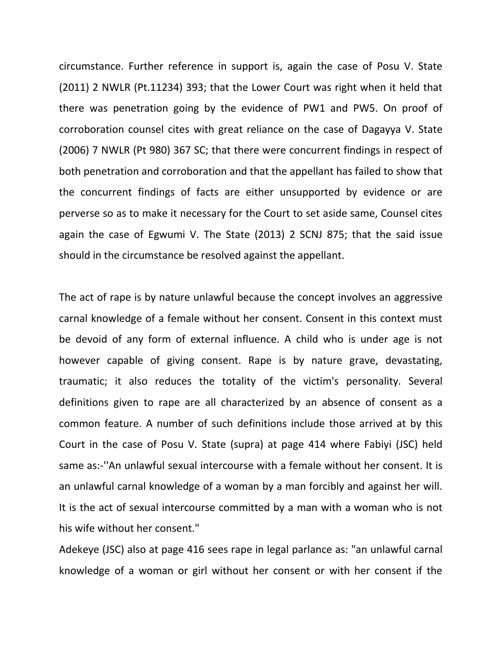circumstance. Further reference in support is, again the case of Posu V. State (2011) 2 NWLR (Pt.11234) 393; that the Lower Court was right when it held that there was penetration going by the evidence of PW1 and PW5. On proof of corroboration counsel cites with great reliance on the case of Dagayya V. State (2006) 7 NWLR (Pt 980) 367 SC; that there were concurrent findings in respect of both penetration and corroboration and that the appellant has failed to show that the concurrent findings of facts are either unsupported by evidence or are perverse so as to make it necessary for the Court to set aside same, Counsel cites again the case of Egwumi V. The State (2013) 2 SCNJ 875; that the said issue should in the circumstance be resolved against the appellant.

The act of rape is by nature unlawful because the concept involves an aggressive carnal knowledge of a female without her consent. Consent in this context must be devoid of any form of external influence. A child who is under age is not however capable of giving consent. Rape is by nature grave, devastating, traumatic; it also reduces the totality of the victim's personality. Several definitions given to rape are all characterized by an absence of consent as a common feature. A number of such definitions include those arrived at by this Court in the case of Posu V. State (supra) at page 414 where Fabiyi (JSC) held same as:-''An unlawful sexual intercourse with a female without her consent. It is an unlawful carnal knowledge of a woman by a man forcibly and against her will. It is the act of sexual intercourse committed by a man with a woman who is not his wife without her consent."

Adekeye (JSC) also at page 416 sees rape in legal parlance as: "an unlawful carnal knowledge of a woman or girl without her consent or with her consent if the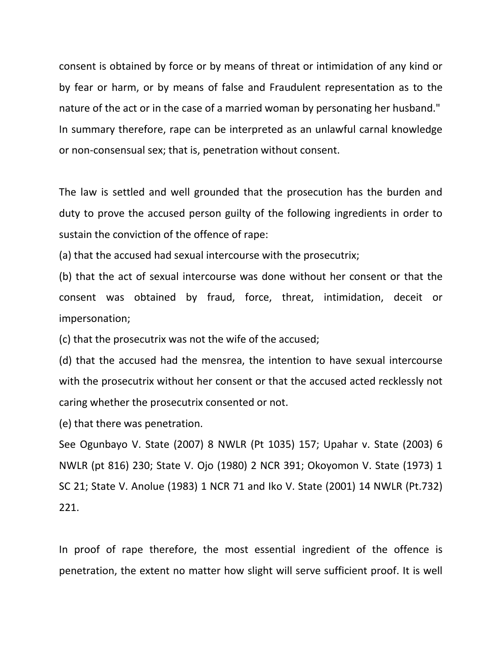consent is obtained by force or by means of threat or intimidation of any kind or by fear or harm, or by means of false and Fraudulent representation as to the nature of the act or in the case of a married woman by personating her husband." In summary therefore, rape can be interpreted as an unlawful carnal knowledge or non-consensual sex; that is, penetration without consent.

The law is settled and well grounded that the prosecution has the burden and duty to prove the accused person guilty of the following ingredients in order to sustain the conviction of the offence of rape:

(a) that the accused had sexual intercourse with the prosecutrix;

(b) that the act of sexual intercourse was done without her consent or that the consent was obtained by fraud, force, threat, intimidation, deceit or impersonation;

(c) that the prosecutrix was not the wife of the accused;

(d) that the accused had the mensrea, the intention to have sexual intercourse with the prosecutrix without her consent or that the accused acted recklessly not caring whether the prosecutrix consented or not.

(e) that there was penetration.

See Ogunbayo V. State (2007) 8 NWLR (Pt 1035) 157; Upahar v. State (2003) 6 NWLR (pt 816) 230; State V. Ojo (1980) 2 NCR 391; Okoyomon V. State (1973) 1 SC 21; State V. Anolue (1983) 1 NCR 71 and Iko V. State (2001) 14 NWLR (Pt.732) 221.

In proof of rape therefore, the most essential ingredient of the offence is penetration, the extent no matter how slight will serve sufficient proof. It is well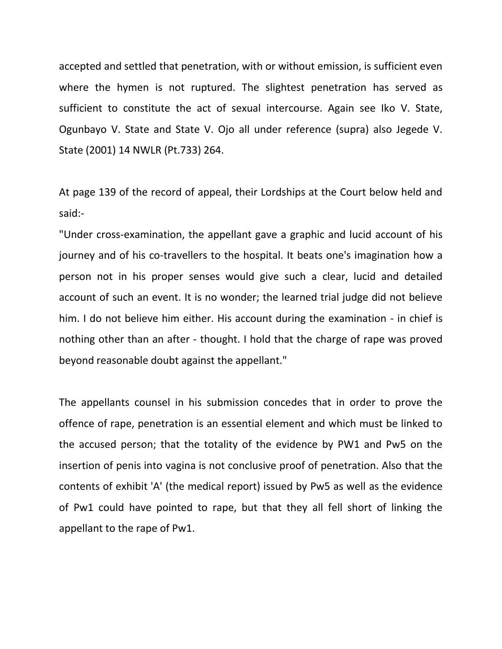accepted and settled that penetration, with or without emission, is sufficient even where the hymen is not ruptured. The slightest penetration has served as sufficient to constitute the act of sexual intercourse. Again see Iko V. State, Ogunbayo V. State and State V. Ojo all under reference (supra) also Jegede V. State (2001) 14 NWLR (Pt.733) 264.

At page 139 of the record of appeal, their Lordships at the Court below held and said:-

"Under cross-examination, the appellant gave a graphic and lucid account of his journey and of his co-travellers to the hospital. It beats one's imagination how a person not in his proper senses would give such a clear, lucid and detailed account of such an event. It is no wonder; the learned trial judge did not believe him. I do not believe him either. His account during the examination - in chief is nothing other than an after - thought. I hold that the charge of rape was proved beyond reasonable doubt against the appellant."

The appellants counsel in his submission concedes that in order to prove the offence of rape, penetration is an essential element and which must be linked to the accused person; that the totality of the evidence by PW1 and Pw5 on the insertion of penis into vagina is not conclusive proof of penetration. Also that the contents of exhibit 'A' (the medical report) issued by Pw5 as well as the evidence of Pw1 could have pointed to rape, but that they all fell short of linking the appellant to the rape of Pw1.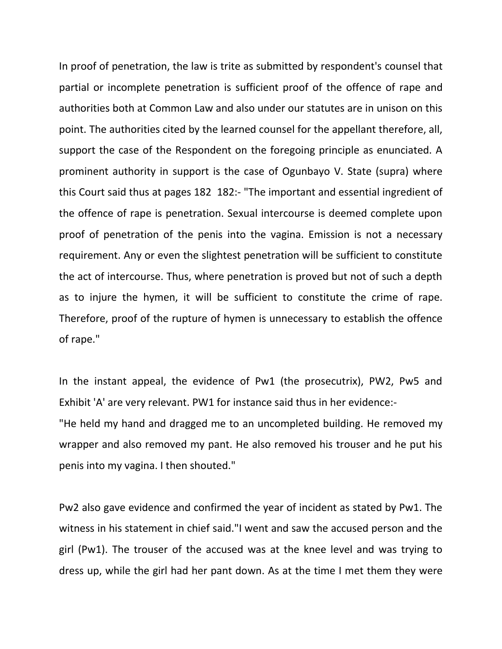In proof of penetration, the law is trite as submitted by respondent's counsel that partial or incomplete penetration is sufficient proof of the offence of rape and authorities both at Common Law and also under our statutes are in unison on this point. The authorities cited by the learned counsel for the appellant therefore, all, support the case of the Respondent on the foregoing principle as enunciated. A prominent authority in support is the case of Ogunbayo V. State (supra) where this Court said thus at pages 182 182:- "The important and essential ingredient of the offence of rape is penetration. Sexual intercourse is deemed complete upon proof of penetration of the penis into the vagina. Emission is not a necessary requirement. Any or even the slightest penetration will be sufficient to constitute the act of intercourse. Thus, where penetration is proved but not of such a depth as to injure the hymen, it will be sufficient to constitute the crime of rape. Therefore, proof of the rupture of hymen is unnecessary to establish the offence of rape."

In the instant appeal, the evidence of Pw1 (the prosecutrix), PW2, Pw5 and Exhibit 'A' are very relevant. PW1 for instance said thus in her evidence:- "He held my hand and dragged me to an uncompleted building. He removed my wrapper and also removed my pant. He also removed his trouser and he put his penis into my vagina. I then shouted."

Pw2 also gave evidence and confirmed the year of incident as stated by Pw1. The witness in his statement in chief said."I went and saw the accused person and the girl (Pw1). The trouser of the accused was at the knee level and was trying to dress up, while the girl had her pant down. As at the time I met them they were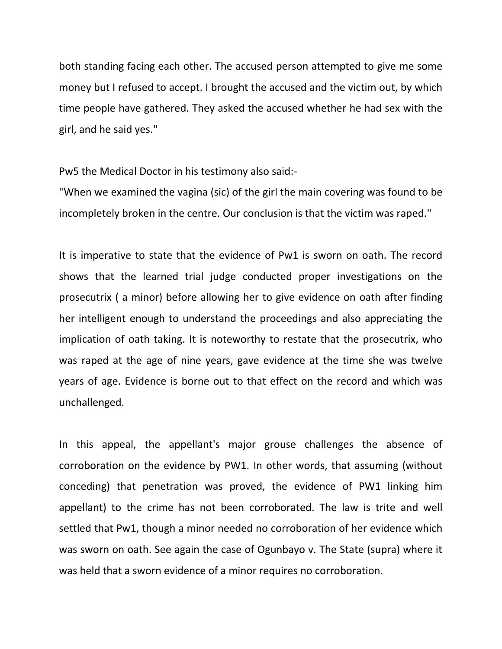both standing facing each other. The accused person attempted to give me some money but I refused to accept. I brought the accused and the victim out, by which time people have gathered. They asked the accused whether he had sex with the girl, and he said yes."

Pw5 the Medical Doctor in his testimony also said:-

"When we examined the vagina (sic) of the girl the main covering was found to be incompletely broken in the centre. Our conclusion is that the victim was raped."

It is imperative to state that the evidence of Pw1 is sworn on oath. The record shows that the learned trial judge conducted proper investigations on the prosecutrix ( a minor) before allowing her to give evidence on oath after finding her intelligent enough to understand the proceedings and also appreciating the implication of oath taking. It is noteworthy to restate that the prosecutrix, who was raped at the age of nine years, gave evidence at the time she was twelve years of age. Evidence is borne out to that effect on the record and which was unchallenged.

In this appeal, the appellant's major grouse challenges the absence of corroboration on the evidence by PW1. In other words, that assuming (without conceding) that penetration was proved, the evidence of PW1 linking him appellant) to the crime has not been corroborated. The law is trite and well settled that Pw1, though a minor needed no corroboration of her evidence which was sworn on oath. See again the case of Ogunbayo v. The State (supra) where it was held that a sworn evidence of a minor requires no corroboration.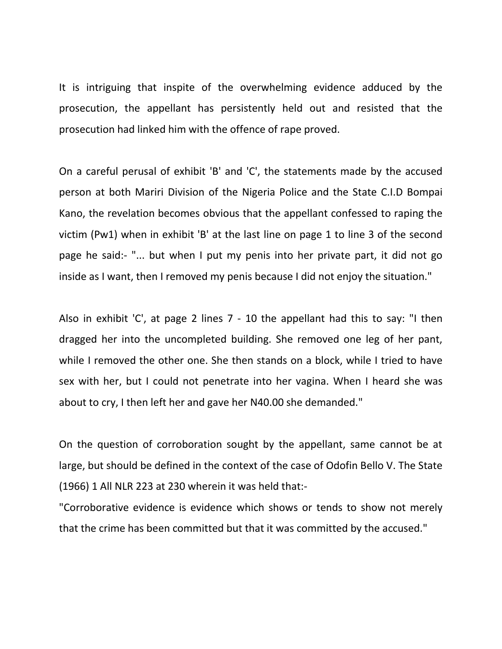It is intriguing that inspite of the overwhelming evidence adduced by the prosecution, the appellant has persistently held out and resisted that the prosecution had linked him with the offence of rape proved.

On a careful perusal of exhibit 'B' and 'C', the statements made by the accused person at both Mariri Division of the Nigeria Police and the State C.I.D Bompai Kano, the revelation becomes obvious that the appellant confessed to raping the victim (Pw1) when in exhibit 'B' at the last line on page 1 to line 3 of the second page he said:- "... but when I put my penis into her private part, it did not go inside as I want, then I removed my penis because I did not enjoy the situation."

Also in exhibit 'C', at page 2 lines 7 - 10 the appellant had this to say: "I then dragged her into the uncompleted building. She removed one leg of her pant, while I removed the other one. She then stands on a block, while I tried to have sex with her, but I could not penetrate into her vagina. When I heard she was about to cry, I then left her and gave her N40.00 she demanded."

On the question of corroboration sought by the appellant, same cannot be at large, but should be defined in the context of the case of Odofin Bello V. The State (1966) 1 All NLR 223 at 230 wherein it was held that:-

"Corroborative evidence is evidence which shows or tends to show not merely that the crime has been committed but that it was committed by the accused."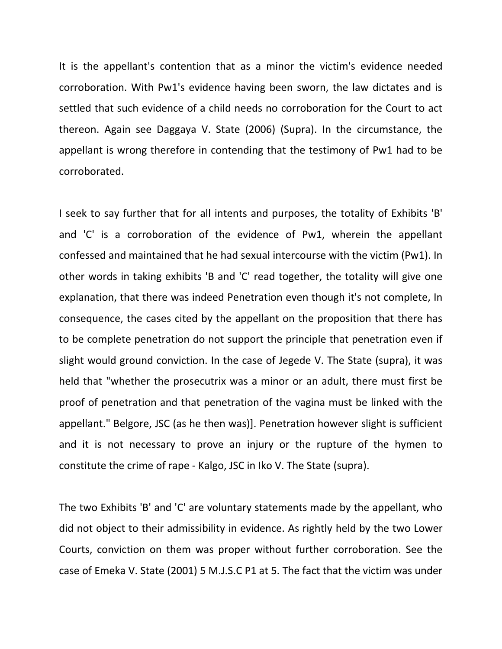It is the appellant's contention that as a minor the victim's evidence needed corroboration. With Pw1's evidence having been sworn, the law dictates and is settled that such evidence of a child needs no corroboration for the Court to act thereon. Again see Daggaya V. State (2006) (Supra). In the circumstance, the appellant is wrong therefore in contending that the testimony of Pw1 had to be corroborated.

I seek to say further that for all intents and purposes, the totality of Exhibits 'B' and 'C' is a corroboration of the evidence of Pw1, wherein the appellant confessed and maintained that he had sexual intercourse with the victim (Pw1). In other words in taking exhibits 'B and 'C' read together, the totality will give one explanation, that there was indeed Penetration even though it's not complete, In consequence, the cases cited by the appellant on the proposition that there has to be complete penetration do not support the principle that penetration even if slight would ground conviction. In the case of Jegede V. The State (supra), it was held that "whether the prosecutrix was a minor or an adult, there must first be proof of penetration and that penetration of the vagina must be linked with the appellant." Belgore, JSC (as he then was)]. Penetration however slight is sufficient and it is not necessary to prove an injury or the rupture of the hymen to constitute the crime of rape - Kalgo, JSC in Iko V. The State (supra).

The two Exhibits 'B' and 'C' are voluntary statements made by the appellant, who did not object to their admissibility in evidence. As rightly held by the two Lower Courts, conviction on them was proper without further corroboration. See the case of Emeka V. State (2001) 5 M.J.S.C P1 at 5. The fact that the victim was under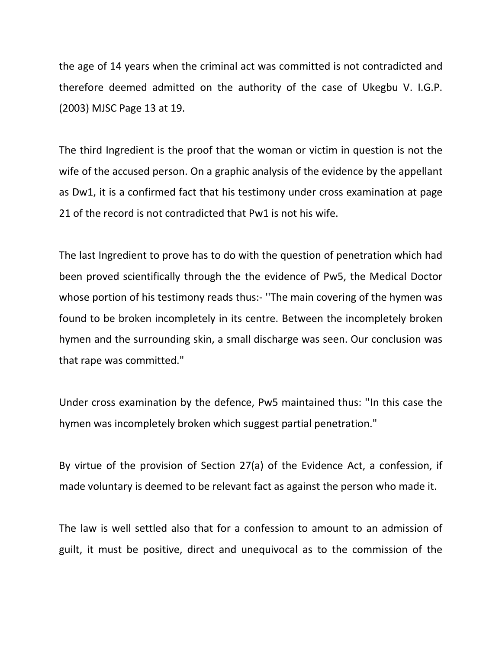the age of 14 years when the criminal act was committed is not contradicted and therefore deemed admitted on the authority of the case of Ukegbu V. I.G.P. (2003) MJSC Page 13 at 19.

The third Ingredient is the proof that the woman or victim in question is not the wife of the accused person. On a graphic analysis of the evidence by the appellant as Dw1, it is a confirmed fact that his testimony under cross examination at page 21 of the record is not contradicted that Pw1 is not his wife.

The last Ingredient to prove has to do with the question of penetration which had been proved scientifically through the the evidence of Pw5, the Medical Doctor whose portion of his testimony reads thus:- ''The main covering of the hymen was found to be broken incompletely in its centre. Between the incompletely broken hymen and the surrounding skin, a small discharge was seen. Our conclusion was that rape was committed."

Under cross examination by the defence, Pw5 maintained thus: ''In this case the hymen was incompletely broken which suggest partial penetration."

By virtue of the provision of Section 27(a) of the Evidence Act, a confession, if made voluntary is deemed to be relevant fact as against the person who made it.

The law is well settled also that for a confession to amount to an admission of guilt, it must be positive, direct and unequivocal as to the commission of the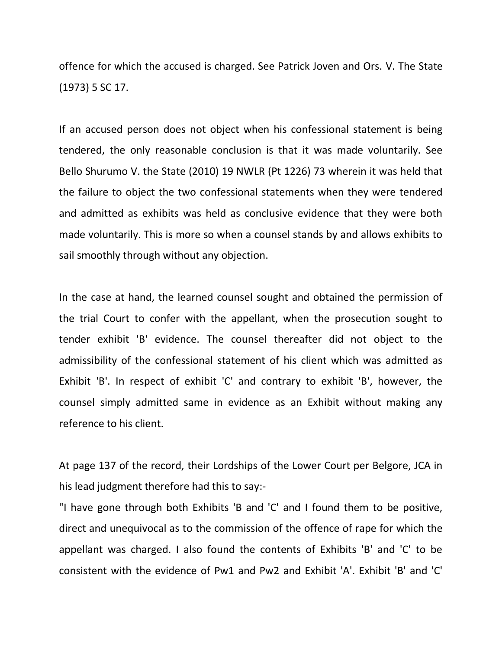offence for which the accused is charged. See Patrick Joven and Ors. V. The State (1973) 5 SC 17.

If an accused person does not object when his confessional statement is being tendered, the only reasonable conclusion is that it was made voluntarily. See Bello Shurumo V. the State (2010) 19 NWLR (Pt 1226) 73 wherein it was held that the failure to object the two confessional statements when they were tendered and admitted as exhibits was held as conclusive evidence that they were both made voluntarily. This is more so when a counsel stands by and allows exhibits to sail smoothly through without any objection.

In the case at hand, the learned counsel sought and obtained the permission of the trial Court to confer with the appellant, when the prosecution sought to tender exhibit 'B' evidence. The counsel thereafter did not object to the admissibility of the confessional statement of his client which was admitted as Exhibit 'B'. In respect of exhibit 'C' and contrary to exhibit 'B', however, the counsel simply admitted same in evidence as an Exhibit without making any reference to his client.

At page 137 of the record, their Lordships of the Lower Court per Belgore, JCA in his lead judgment therefore had this to say:-

"I have gone through both Exhibits 'B and 'C' and I found them to be positive, direct and unequivocal as to the commission of the offence of rape for which the appellant was charged. I also found the contents of Exhibits 'B' and 'C' to be consistent with the evidence of Pw1 and Pw2 and Exhibit 'A'. Exhibit 'B' and 'C'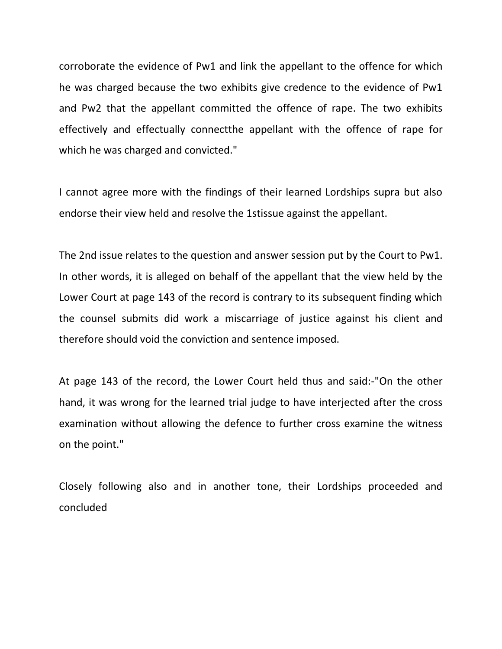corroborate the evidence of Pw1 and link the appellant to the offence for which he was charged because the two exhibits give credence to the evidence of Pw1 and Pw2 that the appellant committed the offence of rape. The two exhibits effectively and effectually connectthe appellant with the offence of rape for which he was charged and convicted."

I cannot agree more with the findings of their learned Lordships supra but also endorse their view held and resolve the 1stissue against the appellant.

The 2nd issue relates to the question and answer session put by the Court to Pw1. In other words, it is alleged on behalf of the appellant that the view held by the Lower Court at page 143 of the record is contrary to its subsequent finding which the counsel submits did work a miscarriage of justice against his client and therefore should void the conviction and sentence imposed.

At page 143 of the record, the Lower Court held thus and said:-"On the other hand, it was wrong for the learned trial judge to have interjected after the cross examination without allowing the defence to further cross examine the witness on the point."

Closely following also and in another tone, their Lordships proceeded and concluded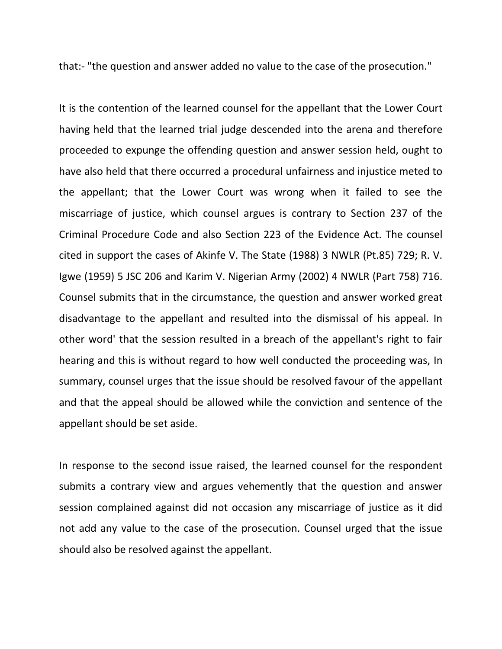that:- "the question and answer added no value to the case of the prosecution."

It is the contention of the learned counsel for the appellant that the Lower Court having held that the learned trial judge descended into the arena and therefore proceeded to expunge the offending question and answer session held, ought to have also held that there occurred a procedural unfairness and injustice meted to the appellant; that the Lower Court was wrong when it failed to see the miscarriage of justice, which counsel argues is contrary to Section 237 of the Criminal Procedure Code and also Section 223 of the Evidence Act. The counsel cited in support the cases of Akinfe V. The State (1988) 3 NWLR (Pt.85) 729; R. V. Igwe (1959) 5 JSC 206 and Karim V. Nigerian Army (2002) 4 NWLR (Part 758) 716. Counsel submits that in the circumstance, the question and answer worked great disadvantage to the appellant and resulted into the dismissal of his appeal. In other word' that the session resulted in a breach of the appellant's right to fair hearing and this is without regard to how well conducted the proceeding was, In summary, counsel urges that the issue should be resolved favour of the appellant and that the appeal should be allowed while the conviction and sentence of the appellant should be set aside.

In response to the second issue raised, the learned counsel for the respondent submits a contrary view and argues vehemently that the question and answer session complained against did not occasion any miscarriage of justice as it did not add any value to the case of the prosecution. Counsel urged that the issue should also be resolved against the appellant.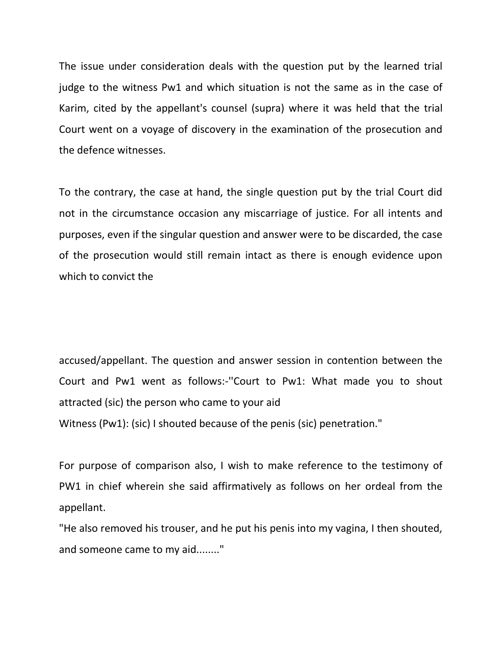The issue under consideration deals with the question put by the learned trial judge to the witness Pw1 and which situation is not the same as in the case of Karim, cited by the appellant's counsel (supra) where it was held that the trial Court went on a voyage of discovery in the examination of the prosecution and the defence witnesses.

To the contrary, the case at hand, the single question put by the trial Court did not in the circumstance occasion any miscarriage of justice. For all intents and purposes, even if the singular question and answer were to be discarded, the case of the prosecution would still remain intact as there is enough evidence upon which to convict the

accused/appellant. The question and answer session in contention between the Court and Pw1 went as follows:-''Court to Pw1: What made you to shout attracted (sic) the person who came to your aid Witness (Pw1): (sic) I shouted because of the penis (sic) penetration."

For purpose of comparison also, I wish to make reference to the testimony of PW1 in chief wherein she said affirmatively as follows on her ordeal from the appellant.

"He also removed his trouser, and he put his penis into my vagina, I then shouted, and someone came to my aid........"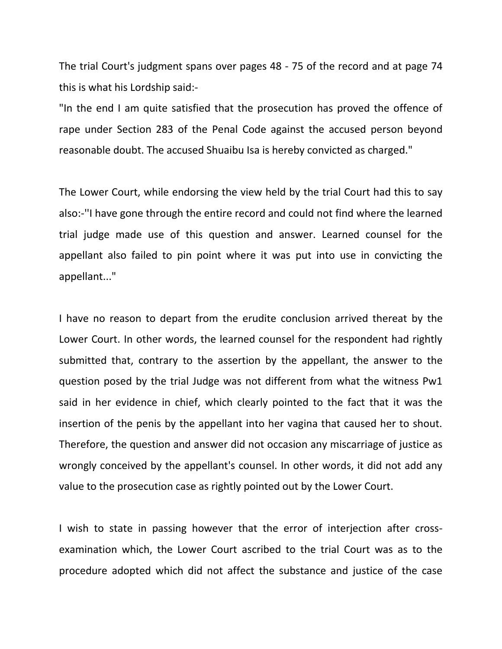The trial Court's judgment spans over pages 48 - 75 of the record and at page 74 this is what his Lordship said:-

"In the end I am quite satisfied that the prosecution has proved the offence of rape under Section 283 of the Penal Code against the accused person beyond reasonable doubt. The accused Shuaibu Isa is hereby convicted as charged."

The Lower Court, while endorsing the view held by the trial Court had this to say also:-''I have gone through the entire record and could not find where the learned trial judge made use of this question and answer. Learned counsel for the appellant also failed to pin point where it was put into use in convicting the appellant..."

I have no reason to depart from the erudite conclusion arrived thereat by the Lower Court. In other words, the learned counsel for the respondent had rightly submitted that, contrary to the assertion by the appellant, the answer to the question posed by the trial Judge was not different from what the witness Pw1 said in her evidence in chief, which clearly pointed to the fact that it was the insertion of the penis by the appellant into her vagina that caused her to shout. Therefore, the question and answer did not occasion any miscarriage of justice as wrongly conceived by the appellant's counsel. In other words, it did not add any value to the prosecution case as rightly pointed out by the Lower Court.

I wish to state in passing however that the error of interjection after crossexamination which, the Lower Court ascribed to the trial Court was as to the procedure adopted which did not affect the substance and justice of the case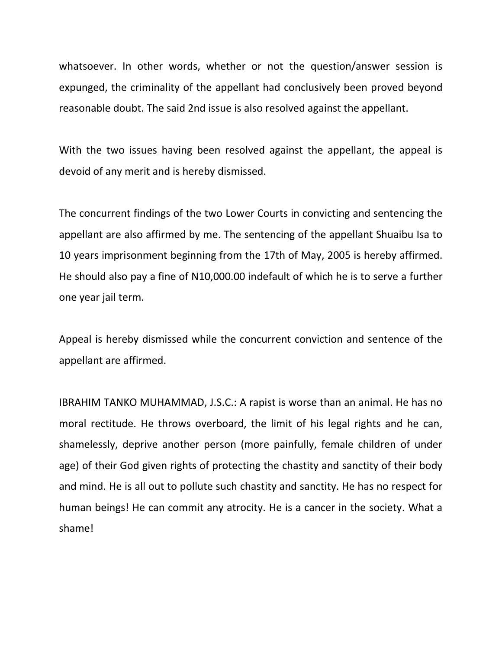whatsoever. In other words, whether or not the question/answer session is expunged, the criminality of the appellant had conclusively been proved beyond reasonable doubt. The said 2nd issue is also resolved against the appellant.

With the two issues having been resolved against the appellant, the appeal is devoid of any merit and is hereby dismissed.

The concurrent findings of the two Lower Courts in convicting and sentencing the appellant are also affirmed by me. The sentencing of the appellant Shuaibu Isa to 10 years imprisonment beginning from the 17th of May, 2005 is hereby affirmed. He should also pay a fine of N10,000.00 indefault of which he is to serve a further one year jail term.

Appeal is hereby dismissed while the concurrent conviction and sentence of the appellant are affirmed.

IBRAHIM TANKO MUHAMMAD, J.S.C.: A rapist is worse than an animal. He has no moral rectitude. He throws overboard, the limit of his legal rights and he can, shamelessly, deprive another person (more painfully, female children of under age) of their God given rights of protecting the chastity and sanctity of their body and mind. He is all out to pollute such chastity and sanctity. He has no respect for human beings! He can commit any atrocity. He is a cancer in the society. What a shame!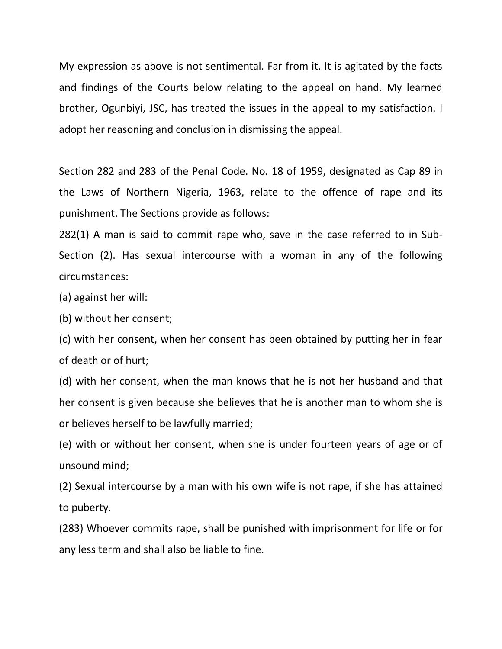My expression as above is not sentimental. Far from it. It is agitated by the facts and findings of the Courts below relating to the appeal on hand. My learned brother, Ogunbiyi, JSC, has treated the issues in the appeal to my satisfaction. I adopt her reasoning and conclusion in dismissing the appeal.

Section 282 and 283 of the Penal Code. No. 18 of 1959, designated as Cap 89 in the Laws of Northern Nigeria, 1963, relate to the offence of rape and its punishment. The Sections provide as follows:

282(1) A man is said to commit rape who, save in the case referred to in Sub-Section (2). Has sexual intercourse with a woman in any of the following circumstances:

(a) against her will:

(b) without her consent;

(c) with her consent, when her consent has been obtained by putting her in fear of death or of hurt;

(d) with her consent, when the man knows that he is not her husband and that her consent is given because she believes that he is another man to whom she is or believes herself to be lawfully married;

(e) with or without her consent, when she is under fourteen years of age or of unsound mind;

(2) Sexual intercourse by a man with his own wife is not rape, if she has attained to puberty.

(283) Whoever commits rape, shall be punished with imprisonment for life or for any less term and shall also be liable to fine.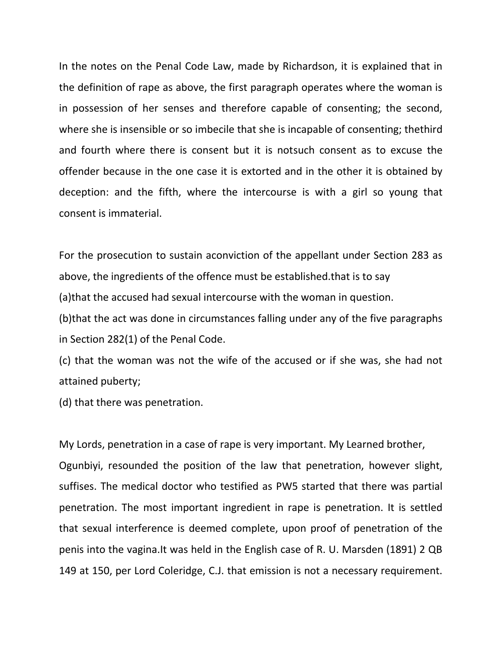In the notes on the Penal Code Law, made by Richardson, it is explained that in the definition of rape as above, the first paragraph operates where the woman is in possession of her senses and therefore capable of consenting; the second, where she is insensible or so imbecile that she is incapable of consenting; thethird and fourth where there is consent but it is notsuch consent as to excuse the offender because in the one case it is extorted and in the other it is obtained by deception: and the fifth, where the intercourse is with a girl so young that consent is immaterial.

For the prosecution to sustain aconviction of the appellant under Section 283 as above, the ingredients of the offence must be established.that is to say (a)that the accused had sexual intercourse with the woman in question. (b)that the act was done in circumstances falling under any of the five paragraphs in Section 282(1) of the Penal Code.

(c) that the woman was not the wife of the accused or if she was, she had not attained puberty;

(d) that there was penetration.

My Lords, penetration in a case of rape is very important. My Learned brother, Ogunbiyi, resounded the position of the law that penetration, however slight, suffises. The medical doctor who testified as PW5 started that there was partial penetration. The most important ingredient in rape is penetration. It is settled that sexual interference is deemed complete, upon proof of penetration of the penis into the vagina.It was held in the English case of R. U. Marsden (1891) 2 QB 149 at 150, per Lord Coleridge, C.J. that emission is not a necessary requirement.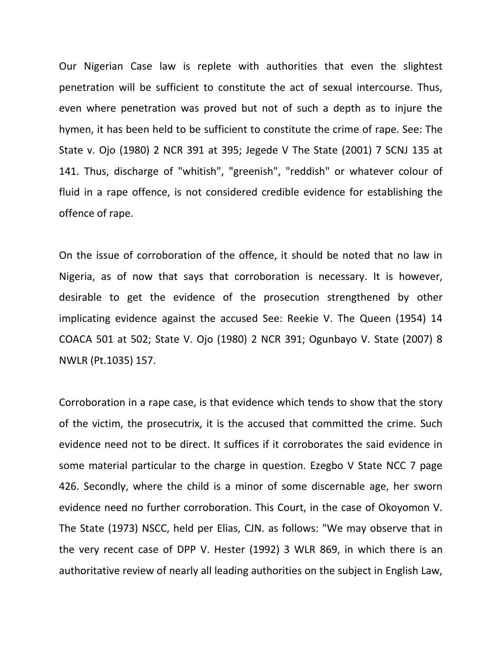Our Nigerian Case law is replete with authorities that even the slightest penetration will be sufficient to constitute the act of sexual intercourse. Thus, even where penetration was proved but not of such a depth as to injure the hymen, it has been held to be sufficient to constitute the crime of rape. See: The State v. Ojo (1980) 2 NCR 391 at 395; Jegede V The State (2001) 7 SCNJ 135 at 141. Thus, discharge of "whitish", "greenish", "reddish" or whatever colour of fluid in a rape offence, is not considered credible evidence for establishing the offence of rape.

On the issue of corroboration of the offence, it should be noted that no law in Nigeria, as of now that says that corroboration is necessary. It is however, desirable to get the evidence of the prosecution strengthened by other implicating evidence against the accused See: Reekie V. The Queen (1954) 14 COACA 501 at 502; State V. Ojo (1980) 2 NCR 391; Ogunbayo V. State (2007) 8 NWLR (Pt.1035) 157.

Corroboration in a rape case, is that evidence which tends to show that the story of the victim, the prosecutrix, it is the accused that committed the crime. Such evidence need not to be direct. It suffices if it corroborates the said evidence in some material particular to the charge in question. Ezegbo V State NCC 7 page 426. Secondly, where the child is a minor of some discernable age, her sworn evidence need no further corroboration. This Court, in the case of Okoyomon V. The State (1973) NSCC, held per Elias, CJN. as follows: "We may observe that in the very recent case of DPP V. Hester (1992) 3 WLR 869, in which there is an authoritative review of nearly all leading authorities on the subject in English Law,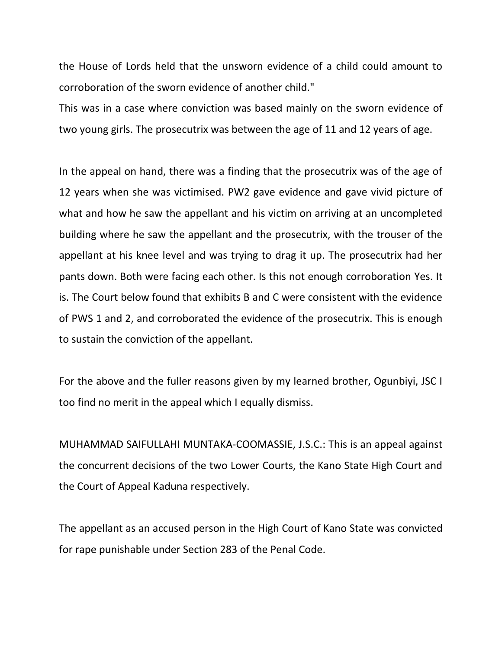the House of Lords held that the unsworn evidence of a child could amount to corroboration of the sworn evidence of another child."

This was in a case where conviction was based mainly on the sworn evidence of two young girls. The prosecutrix was between the age of 11 and 12 years of age.

In the appeal on hand, there was a finding that the prosecutrix was of the age of 12 years when she was victimised. PW2 gave evidence and gave vivid picture of what and how he saw the appellant and his victim on arriving at an uncompleted building where he saw the appellant and the prosecutrix, with the trouser of the appellant at his knee level and was trying to drag it up. The prosecutrix had her pants down. Both were facing each other. Is this not enough corroboration Yes. It is. The Court below found that exhibits B and C were consistent with the evidence of PWS 1 and 2, and corroborated the evidence of the prosecutrix. This is enough to sustain the conviction of the appellant.

For the above and the fuller reasons given by my learned brother, Ogunbiyi, JSC I too find no merit in the appeal which I equally dismiss.

MUHAMMAD SAIFULLAHI MUNTAKA-COOMASSIE, J.S.C.: This is an appeal against the concurrent decisions of the two Lower Courts, the Kano State High Court and the Court of Appeal Kaduna respectively.

The appellant as an accused person in the High Court of Kano State was convicted for rape punishable under Section 283 of the Penal Code.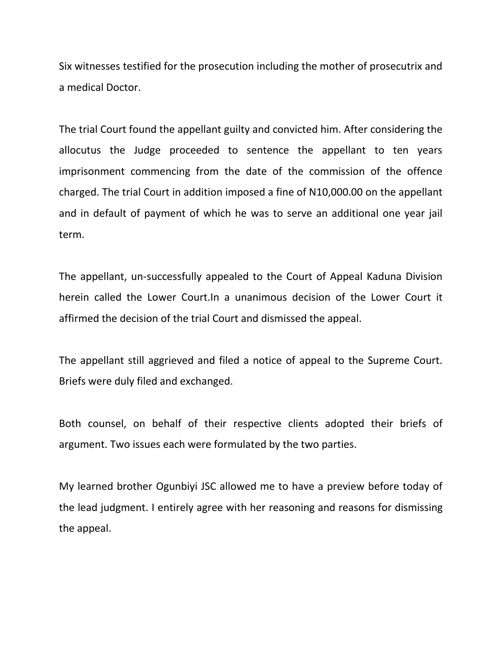Six witnesses testified for the prosecution including the mother of prosecutrix and a medical Doctor.

The trial Court found the appellant guilty and convicted him. After considering the allocutus the Judge proceeded to sentence the appellant to ten years imprisonment commencing from the date of the commission of the offence charged. The trial Court in addition imposed a fine of N10,000.00 on the appellant and in default of payment of which he was to serve an additional one year jail term.

The appellant, un-successfully appealed to the Court of Appeal Kaduna Division herein called the Lower Court.In a unanimous decision of the Lower Court it affirmed the decision of the trial Court and dismissed the appeal.

The appellant still aggrieved and filed a notice of appeal to the Supreme Court. Briefs were duly filed and exchanged.

Both counsel, on behalf of their respective clients adopted their briefs of argument. Two issues each were formulated by the two parties.

My learned brother Ogunbiyi JSC allowed me to have a preview before today of the lead judgment. I entirely agree with her reasoning and reasons for dismissing the appeal.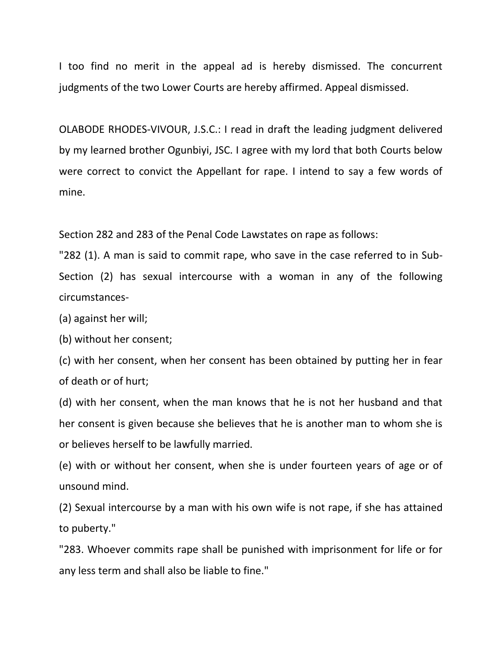I too find no merit in the appeal ad is hereby dismissed. The concurrent judgments of the two Lower Courts are hereby affirmed. Appeal dismissed.

OLABODE RHODES-VIVOUR, J.S.C.: I read in draft the leading judgment delivered by my learned brother Ogunbiyi, JSC. I agree with my lord that both Courts below were correct to convict the Appellant for rape. I intend to say a few words of mine.

Section 282 and 283 of the Penal Code Lawstates on rape as follows:

"282 (1). A man is said to commit rape, who save in the case referred to in Sub-Section (2) has sexual intercourse with a woman in any of the following circumstances-

(a) against her will;

(b) without her consent;

(c) with her consent, when her consent has been obtained by putting her in fear of death or of hurt;

(d) with her consent, when the man knows that he is not her husband and that her consent is given because she believes that he is another man to whom she is or believes herself to be lawfully married.

(e) with or without her consent, when she is under fourteen years of age or of unsound mind.

(2) Sexual intercourse by a man with his own wife is not rape, if she has attained to puberty."

"283. Whoever commits rape shall be punished with imprisonment for life or for any less term and shall also be liable to fine."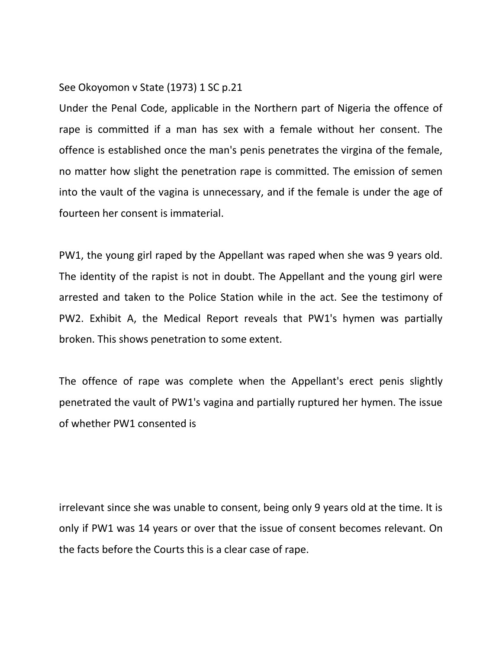### See Okoyomon v State (1973) 1 SC p.21

Under the Penal Code, applicable in the Northern part of Nigeria the offence of rape is committed if a man has sex with a female without her consent. The offence is established once the man's penis penetrates the virgina of the female, no matter how slight the penetration rape is committed. The emission of semen into the vault of the vagina is unnecessary, and if the female is under the age of fourteen her consent is immaterial.

PW1, the young girl raped by the Appellant was raped when she was 9 years old. The identity of the rapist is not in doubt. The Appellant and the young girl were arrested and taken to the Police Station while in the act. See the testimony of PW2. Exhibit A, the Medical Report reveals that PW1's hymen was partially broken. This shows penetration to some extent.

The offence of rape was complete when the Appellant's erect penis slightly penetrated the vault of PW1's vagina and partially ruptured her hymen. The issue of whether PW1 consented is

irrelevant since she was unable to consent, being only 9 years old at the time. It is only if PW1 was 14 years or over that the issue of consent becomes relevant. On the facts before the Courts this is a clear case of rape.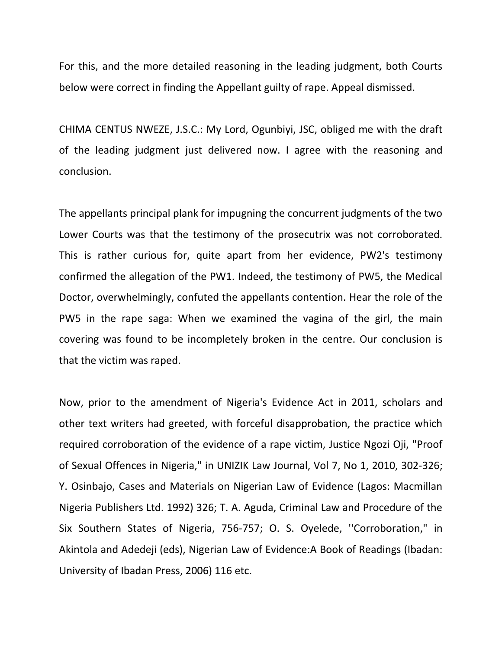For this, and the more detailed reasoning in the leading judgment, both Courts below were correct in finding the Appellant guilty of rape. Appeal dismissed.

CHIMA CENTUS NWEZE, J.S.C.: My Lord, Ogunbiyi, JSC, obliged me with the draft of the leading judgment just delivered now. I agree with the reasoning and conclusion.

The appellants principal plank for impugning the concurrent judgments of the two Lower Courts was that the testimony of the prosecutrix was not corroborated. This is rather curious for, quite apart from her evidence, PW2's testimony confirmed the allegation of the PW1. Indeed, the testimony of PW5, the Medical Doctor, overwhelmingly, confuted the appellants contention. Hear the role of the PW5 in the rape saga: When we examined the vagina of the girl, the main covering was found to be incompletely broken in the centre. Our conclusion is that the victim was raped.

Now, prior to the amendment of Nigeria's Evidence Act in 2011, scholars and other text writers had greeted, with forceful disapprobation, the practice which required corroboration of the evidence of a rape victim, Justice Ngozi Oji, "Proof of Sexual Offences in Nigeria," in UNIZIK Law Journal, Vol 7, No 1, 2010, 302-326; Y. Osinbajo, Cases and Materials on Nigerian Law of Evidence (Lagos: Macmillan Nigeria Publishers Ltd. 1992) 326; T. A. Aguda, Criminal Law and Procedure of the Six Southern States of Nigeria, 756-757; O. S. Oyelede, ''Corroboration," in Akintola and Adedeji (eds), Nigerian Law of Evidence:A Book of Readings (Ibadan: University of Ibadan Press, 2006) 116 etc.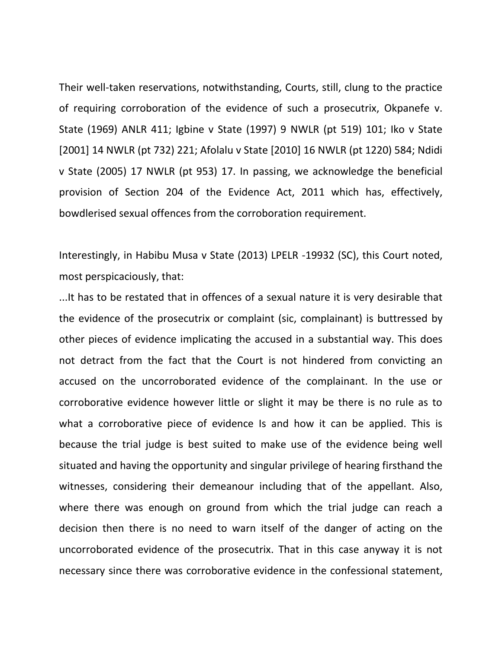Their well-taken reservations, notwithstanding, Courts, still, clung to the practice of requiring corroboration of the evidence of such a prosecutrix, Okpanefe v. State (1969) ANLR 411; Igbine v State (1997) 9 NWLR (pt 519) 101; Iko v State [2001] 14 NWLR (pt 732) 221; Afolalu v State [2010] 16 NWLR (pt 1220) 584; Ndidi v State (2005) 17 NWLR (pt 953) 17. In passing, we acknowledge the beneficial provision of Section 204 of the Evidence Act, 2011 which has, effectively, bowdlerised sexual offences from the corroboration requirement.

Interestingly, in Habibu Musa v State (2013) LPELR -19932 (SC), this Court noted, most perspicaciously, that:

...It has to be restated that in offences of a sexual nature it is very desirable that the evidence of the prosecutrix or complaint (sic, complainant) is buttressed by other pieces of evidence implicating the accused in a substantial way. This does not detract from the fact that the Court is not hindered from convicting an accused on the uncorroborated evidence of the complainant. In the use or corroborative evidence however little or slight it may be there is no rule as to what a corroborative piece of evidence Is and how it can be applied. This is because the trial judge is best suited to make use of the evidence being well situated and having the opportunity and singular privilege of hearing firsthand the witnesses, considering their demeanour including that of the appellant. Also, where there was enough on ground from which the trial judge can reach a decision then there is no need to warn itself of the danger of acting on the uncorroborated evidence of the prosecutrix. That in this case anyway it is not necessary since there was corroborative evidence in the confessional statement,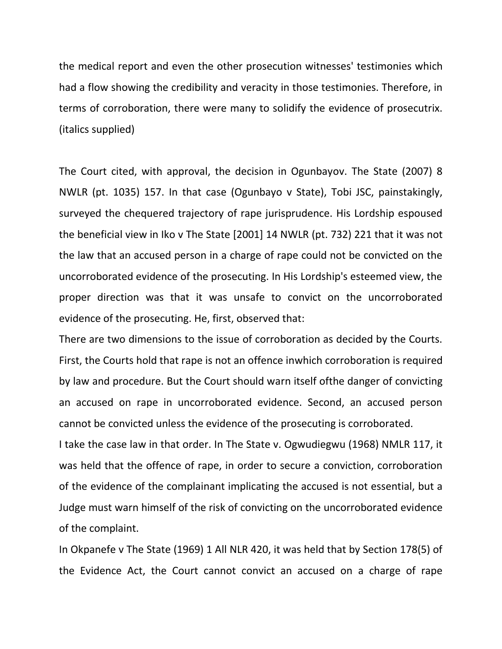the medical report and even the other prosecution witnesses' testimonies which had a flow showing the credibility and veracity in those testimonies. Therefore, in terms of corroboration, there were many to solidify the evidence of prosecutrix. (italics supplied)

The Court cited, with approval, the decision in Ogunbayov. The State (2007) 8 NWLR (pt. 1035) 157. In that case (Ogunbayo v State), Tobi JSC, painstakingly, surveyed the chequered trajectory of rape jurisprudence. His Lordship espoused the beneficial view in Iko v The State [2001] 14 NWLR (pt. 732) 221 that it was not the law that an accused person in a charge of rape could not be convicted on the uncorroborated evidence of the prosecuting. In His Lordship's esteemed view, the proper direction was that it was unsafe to convict on the uncorroborated evidence of the prosecuting. He, first, observed that:

There are two dimensions to the issue of corroboration as decided by the Courts. First, the Courts hold that rape is not an offence inwhich corroboration is required by law and procedure. But the Court should warn itself ofthe danger of convicting an accused on rape in uncorroborated evidence. Second, an accused person cannot be convicted unless the evidence of the prosecuting is corroborated.

I take the case law in that order. In The State v. Ogwudiegwu (1968) NMLR 117, it was held that the offence of rape, in order to secure a conviction, corroboration of the evidence of the complainant implicating the accused is not essential, but a Judge must warn himself of the risk of convicting on the uncorroborated evidence of the complaint.

In Okpanefe v The State (1969) 1 All NLR 420, it was held that by Section 178(5) of the Evidence Act, the Court cannot convict an accused on a charge of rape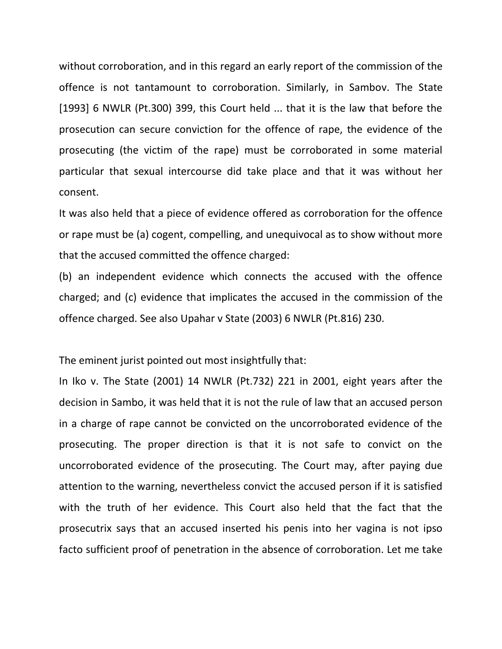without corroboration, and in this regard an early report of the commission of the offence is not tantamount to corroboration. Similarly, in Sambov. The State [1993] 6 NWLR (Pt.300) 399, this Court held ... that it is the law that before the prosecution can secure conviction for the offence of rape, the evidence of the prosecuting (the victim of the rape) must be corroborated in some material particular that sexual intercourse did take place and that it was without her consent.

It was also held that a piece of evidence offered as corroboration for the offence or rape must be (a) cogent, compelling, and unequivocal as to show without more that the accused committed the offence charged:

(b) an independent evidence which connects the accused with the offence charged; and (c) evidence that implicates the accused in the commission of the offence charged. See also Upahar v State (2003) 6 NWLR (Pt.816) 230.

The eminent jurist pointed out most insightfully that:

In Iko v. The State (2001) 14 NWLR (Pt.732) 221 in 2001, eight years after the decision in Sambo, it was held that it is not the rule of law that an accused person in a charge of rape cannot be convicted on the uncorroborated evidence of the prosecuting. The proper direction is that it is not safe to convict on the uncorroborated evidence of the prosecuting. The Court may, after paying due attention to the warning, nevertheless convict the accused person if it is satisfied with the truth of her evidence. This Court also held that the fact that the prosecutrix says that an accused inserted his penis into her vagina is not ipso facto sufficient proof of penetration in the absence of corroboration. Let me take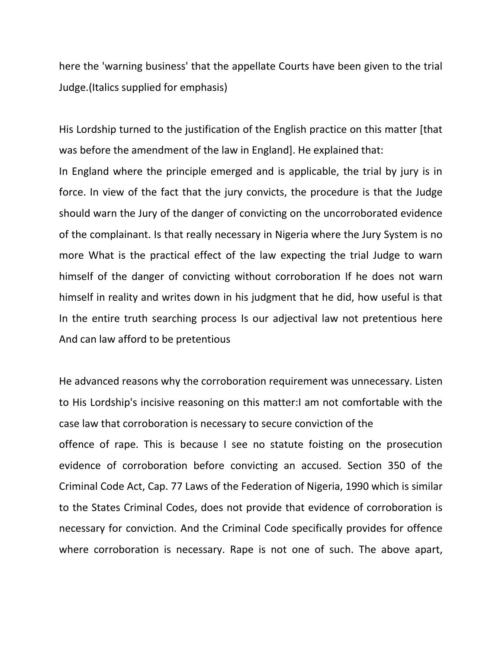here the 'warning business' that the appellate Courts have been given to the trial Judge.(Italics supplied for emphasis)

His Lordship turned to the justification of the English practice on this matter [that was before the amendment of the law in England]. He explained that:

In England where the principle emerged and is applicable, the trial by jury is in force. In view of the fact that the jury convicts, the procedure is that the Judge should warn the Jury of the danger of convicting on the uncorroborated evidence of the complainant. Is that really necessary in Nigeria where the Jury System is no more What is the practical effect of the law expecting the trial Judge to warn himself of the danger of convicting without corroboration If he does not warn himself in reality and writes down in his judgment that he did, how useful is that In the entire truth searching process Is our adjectival law not pretentious here And can law afford to be pretentious

He advanced reasons why the corroboration requirement was unnecessary. Listen to His Lordship's incisive reasoning on this matter:I am not comfortable with the case law that corroboration is necessary to secure conviction of the offence of rape. This is because I see no statute foisting on the prosecution evidence of corroboration before convicting an accused. Section 350 of the Criminal Code Act, Cap. 77 Laws of the Federation of Nigeria, 1990 which is similar to the States Criminal Codes, does not provide that evidence of corroboration is necessary for conviction. And the Criminal Code specifically provides for offence where corroboration is necessary. Rape is not one of such. The above apart,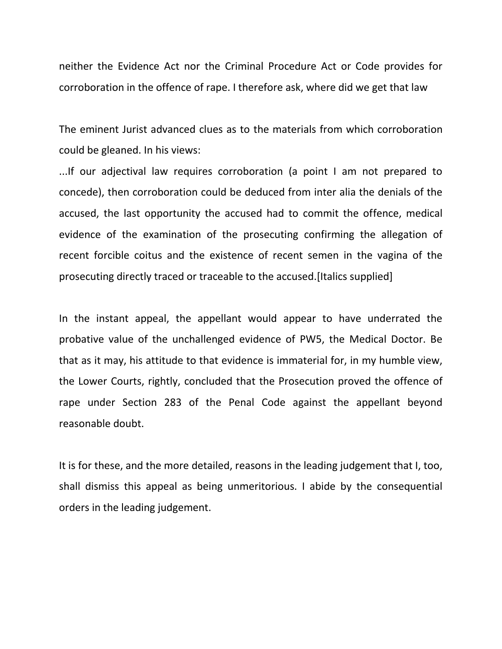neither the Evidence Act nor the Criminal Procedure Act or Code provides for corroboration in the offence of rape. I therefore ask, where did we get that law

The eminent Jurist advanced clues as to the materials from which corroboration could be gleaned. In his views:

...If our adjectival law requires corroboration (a point I am not prepared to concede), then corroboration could be deduced from inter alia the denials of the accused, the last opportunity the accused had to commit the offence, medical evidence of the examination of the prosecuting confirming the allegation of recent forcible coitus and the existence of recent semen in the vagina of the prosecuting directly traced or traceable to the accused.[Italics supplied]

In the instant appeal, the appellant would appear to have underrated the probative value of the unchallenged evidence of PW5, the Medical Doctor. Be that as it may, his attitude to that evidence is immaterial for, in my humble view, the Lower Courts, rightly, concluded that the Prosecution proved the offence of rape under Section 283 of the Penal Code against the appellant beyond reasonable doubt.

It is for these, and the more detailed, reasons in the leading judgement that I, too, shall dismiss this appeal as being unmeritorious. I abide by the consequential orders in the leading judgement.